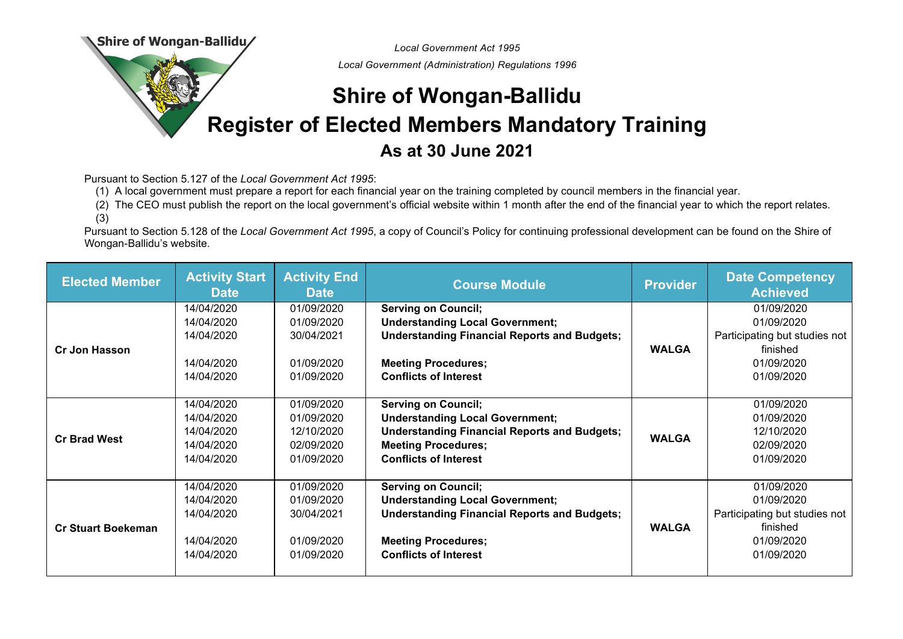Shire of Wongan-Ballidu/

*Local Government Act 1995*

*Local Government (Administration) Regulations 1996*

## **Shire of Wongan-Ballidu Register of Elected Members Mandatory Training As at 30 June 2021**

Pursuant to Section 5.127 of the *Local Government Act 1995*:

(1) A local government must prepare a report for each financial year on the training completed by council members in the financial year.

(2) The CEO must publish the report on the local government's official website within 1 month after the end of the financial year to which the report relates. (3)

Pursuant to Section 5.128 of the *Local Government Act 1995*, a copy of Council's Policy for continuing professional development can be found on the Shire of Wongan-Ballidu's website.

| <b>Elected Member</b>     | <b>Activity Start</b><br><b>Date</b>                               | <b>Activity End</b><br><b>Date</b>                                 | <b>Course Module</b>                                                                                                                                                                      | <b>Provider</b> | <b>Date Competency</b><br><b>Achieved</b>                                                         |
|---------------------------|--------------------------------------------------------------------|--------------------------------------------------------------------|-------------------------------------------------------------------------------------------------------------------------------------------------------------------------------------------|-----------------|---------------------------------------------------------------------------------------------------|
| <b>Cr Jon Hasson</b>      | 14/04/2020<br>14/04/2020<br>14/04/2020<br>14/04/2020<br>14/04/2020 | 01/09/2020<br>01/09/2020<br>30/04/2021<br>01/09/2020<br>01/09/2020 | <b>Serving on Council;</b><br><b>Understanding Local Government;</b><br><b>Understanding Financial Reports and Budgets;</b><br><b>Meeting Procedures;</b><br><b>Conflicts of Interest</b> | <b>WALGA</b>    | 01/09/2020<br>01/09/2020<br>Participating but studies not<br>finished<br>01/09/2020<br>01/09/2020 |
| <b>Cr Brad West</b>       | 14/04/2020<br>14/04/2020<br>14/04/2020<br>14/04/2020<br>14/04/2020 | 01/09/2020<br>01/09/2020<br>12/10/2020<br>02/09/2020<br>01/09/2020 | <b>Serving on Council;</b><br><b>Understanding Local Government;</b><br><b>Understanding Financial Reports and Budgets;</b><br><b>Meeting Procedures;</b><br><b>Conflicts of Interest</b> | <b>WALGA</b>    | 01/09/2020<br>01/09/2020<br>12/10/2020<br>02/09/2020<br>01/09/2020                                |
| <b>Cr Stuart Boekeman</b> | 14/04/2020<br>14/04/2020<br>14/04/2020<br>14/04/2020<br>14/04/2020 | 01/09/2020<br>01/09/2020<br>30/04/2021<br>01/09/2020<br>01/09/2020 | <b>Serving on Council;</b><br><b>Understanding Local Government;</b><br><b>Understanding Financial Reports and Budgets;</b><br><b>Meeting Procedures;</b><br><b>Conflicts of Interest</b> | <b>WALGA</b>    | 01/09/2020<br>01/09/2020<br>Participating but studies not<br>finished<br>01/09/2020<br>01/09/2020 |